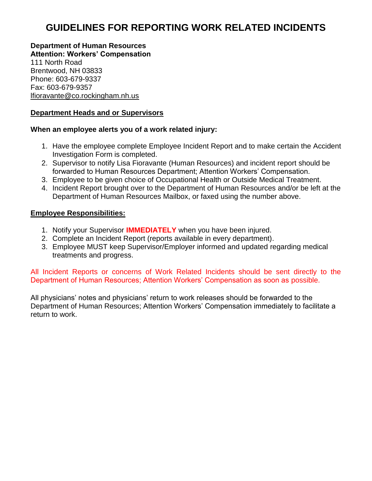# **GUIDELINES FOR REPORTING WORK RELATED INCIDENTS**

**Department of Human Resources Attention: Workers' Compensation** 111 North Road Brentwood, NH 03833 Phone: 603-679-9337 Fax: 603-679-9357 lfioravante@co.rockingham.nh.us

### **Department Heads and or Supervisors**

#### **When an employee alerts you of a work related injury:**

- 1. Have the employee complete Employee Incident Report and to make certain the Accident Investigation Form is completed.
- 2. Supervisor to notify Lisa Fioravante (Human Resources) and incident report should be forwarded to Human Resources Department; Attention Workers' Compensation.
- 3. Employee to be given choice of Occupational Health or Outside Medical Treatment.
- 4. Incident Report brought over to the Department of Human Resources and/or be left at the Department of Human Resources Mailbox, or faxed using the number above.

#### **Employee Responsibilities:**

- 1. Notify your Supervisor **IMMEDIATELY** when you have been injured.
- 2. Complete an Incident Report (reports available in every department).
- 3. Employee MUST keep Supervisor/Employer informed and updated regarding medical treatments and progress.

All Incident Reports or concerns of Work Related Incidents should be sent directly to the Department of Human Resources; Attention Workers' Compensation as soon as possible.

All physicians' notes and physicians' return to work releases should be forwarded to the Department of Human Resources; Attention Workers' Compensation immediately to facilitate a return to work.